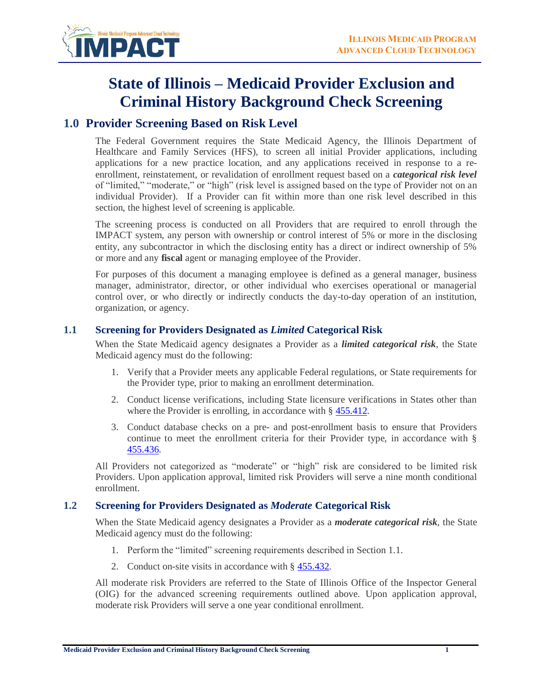

# **State of Illinois – Medicaid Provider Exclusion and Criminal History Background Check Screening**

# **1.0 Provider Screening Based on Risk Level**

The Federal Government requires the State Medicaid Agency, the Illinois Department of Healthcare and Family Services (HFS), to screen all initial Provider applications, including applications for a new practice location, and any applications received in response to a reenrollment, reinstatement, or revalidation of enrollment request based on a *categorical risk level* of "limited," "moderate," or "high" (risk level is assigned based on the type of Provider not on an individual Provider). If a Provider can fit within more than one risk level described in this section, the highest level of screening is applicable.

The screening process is conducted on all Providers that are required to enroll through the IMPACT system, any person with ownership or control interest of 5% or more in the disclosing entity, any subcontractor in which the disclosing entity has a direct or indirect ownership of 5% or more and any **fiscal** agent or managing employee of the Provider.

For purposes of this document a managing employee is defined as a general manager, business manager, administrator, director, or other individual who exercises operational or managerial control over, or who directly or indirectly conducts the day-to-day operation of an institution, organization, or agency.

#### **1.1 Screening for Providers Designated as** *Limited* **Categorical Risk**

When the State Medicaid agency designates a Provider as a *limited categorical risk*, the State Medicaid agency must do the following:

- 1. Verify that a Provider meets any applicable Federal regulations, or State requirements for the Provider type, prior to making an enrollment determination.
- 2. Conduct license verifications, including State licensure verifications in States other than where the Provider is enrolling, in accordance with § [455.412.](http://www.law.cornell.edu/cfr/text/42/455.412)
- 3. Conduct database checks on a pre- and post-enrollment basis to ensure that Providers continue to meet the enrollment criteria for their Provider type, in accordance with § [455.436.](http://www.law.cornell.edu/cfr/text/42/455.436)

All Providers not categorized as "moderate" or "high" risk are considered to be limited risk Providers. Upon application approval, limited risk Providers will serve a nine month conditional enrollment.

#### **1.2 Screening for Providers Designated as** *Moderate* **Categorical Risk**

When the State Medicaid agency designates a Provider as a *moderate categorical risk*, the State Medicaid agency must do the following:

- 1. Perform the "limited" screening requirements described in Section 1.1.
- 2. Conduct on-site visits in accordance with § [455.432.](http://www.law.cornell.edu/cfr/text/42/455.432)

All moderate risk Providers are referred to the State of Illinois Office of the Inspector General (OIG) for the advanced screening requirements outlined above. Upon application approval, moderate risk Providers will serve a one year conditional enrollment.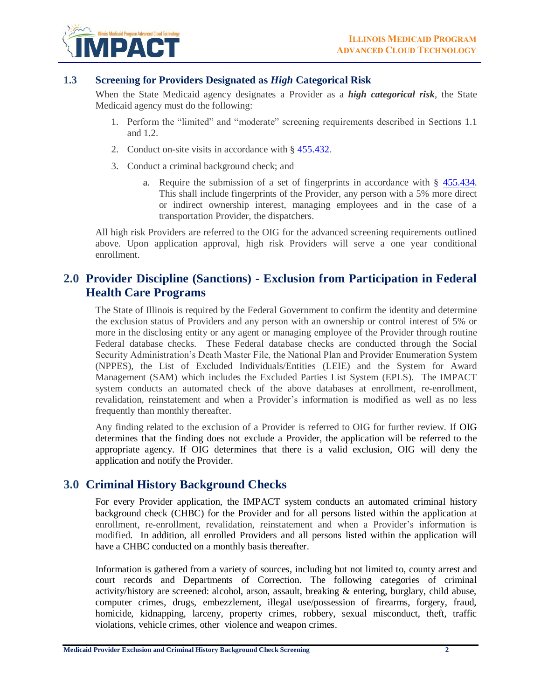

#### **1.3 Screening for Providers Designated as** *High* **Categorical Risk**

When the State Medicaid agency designates a Provider as a *high categorical risk*, the State Medicaid agency must do the following:

- 1. Perform the "limited" and "moderate" screening requirements described in Sections 1.1 and 1.2.
- 2. Conduct on-site visits in accordance with § [455.432.](http://www.law.cornell.edu/cfr/text/42/455.432)
- 3. Conduct a criminal background check; and
	- a. Require the submission of a set of fingerprints in accordance with § [455.434.](http://www.law.cornell.edu/cfr/text/42/455.434) This shall include fingerprints of the Provider, any person with a 5% more direct or indirect ownership interest, managing employees and in the case of a transportation Provider, the dispatchers.

All high risk Providers are referred to the OIG for the advanced screening requirements outlined above. Upon application approval, high risk Providers will serve a one year conditional enrollment.

### **2.0 Provider Discipline (Sanctions) - Exclusion from Participation in Federal Health Care Programs**

The State of Illinois is required by the Federal Government to confirm the identity and determine the exclusion status of Providers and any person with an ownership or control interest of 5% or more in the disclosing entity or any agent or managing employee of the Provider through routine Federal database checks. These Federal database checks are conducted through the Social Security Administration's Death Master File, the National Plan and Provider Enumeration System (NPPES), the List of Excluded Individuals/Entities (LEIE) and the System for Award Management (SAM) which includes the Excluded Parties List System (EPLS). The IMPACT system conducts an automated check of the above databases at enrollment, re-enrollment, revalidation, reinstatement and when a Provider's information is modified as well as no less frequently than monthly thereafter.

Any finding related to the exclusion of a Provider is referred to OIG for further review. If OIG determines that the finding does not exclude a Provider, the application will be referred to the appropriate agency. If OIG determines that there is a valid exclusion, OIG will deny the application and notify the Provider.

## **3.0 Criminal History Background Checks**

For every Provider application, the IMPACT system conducts an automated criminal history background check (CHBC) for the Provider and for all persons listed within the application at enrollment, re-enrollment, revalidation, reinstatement and when a Provider's information is modified. In addition, all enrolled Providers and all persons listed within the application will have a CHBC conducted on a monthly basis thereafter.

Information is gathered from a variety of sources, including but not limited to, county arrest and court records and Departments of Correction. The following categories of criminal activity/history are screened: alcohol, arson, assault, breaking & entering, burglary, child abuse, computer crimes, drugs, embezzlement, illegal use/possession of firearms, forgery, fraud, homicide, kidnapping, larceny, property crimes, robbery, sexual misconduct, theft, traffic violations, vehicle crimes, other violence and weapon crimes.